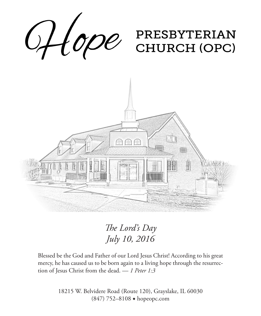

*The Lord's Day July 10, 2016*

Blessed be the God and Father of our Lord Jesus Christ! According to his great mercy, he has caused us to be born again to a living hope through the resurrection of Jesus Christ from the dead. — *1 Peter 1:3*

> 18215 W. Belvidere Road (Route 120), Grayslake, IL 60030 (847) 752–8108 ◆ hopeopc.com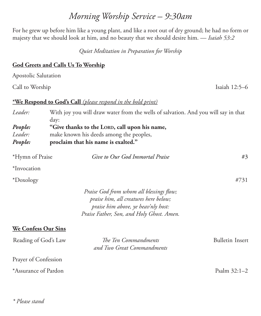### **God Greets and Calls Us To Worship**

Apostolic Salutation

Call to Worship Isaiah 12:5–6

#### **\*We Respond to God's Call** *(please respond in the bold print)*

| Leader: | With joy you will draw water from the wells of salvation. And you will say in that<br>day: |
|---------|--------------------------------------------------------------------------------------------|
| People: | "Give thanks to the LORD, call upon his name,                                              |
| Leader: | make known his deeds among the peoples,                                                    |
| People: | proclaim that his name is exalted."                                                        |

| *Hymn of Praise |  |
|-----------------|--|
|                 |  |

\*Hymn of Praise *Give to Our God Immortal Praise* #3

\*Invocation

\*Doxology #731

*Praise God from whom all blessings flow; praise him, all creatures here below; praise him above, ye heav'nly host: Praise Father, Son, and Holy Ghost. Amen.*

#### **We Confess Our Sins**

| Reading of God's Law | The Ten Commandments<br>and Two Great Commandments | Bulletin Insert |
|----------------------|----------------------------------------------------|-----------------|
| Prayer of Confession |                                                    |                 |
| *Assurance of Pardon |                                                    | Psalm $32:1-2$  |

# *Morning Worship Service – 9:30am*

For he grew up before him like a young plant, and like a root out of dry ground; he had no form or majesty that we should look at him, and no beauty that we should desire him. — *Isaiah 53:2*

*Quiet Meditation in Preparation for Worship*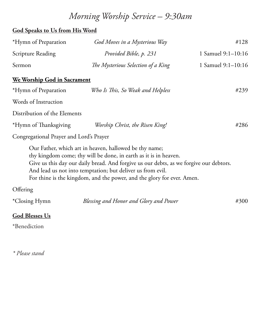## *Morning Worship Service – 9:30am*

#### **God Speaks to Us from His Word**

| *Hymn of Preparation | God Moves in a Mysterious Way      | #128                 |
|----------------------|------------------------------------|----------------------|
| Scripture Reading    | Provided Bible, p. 231             | 1 Samuel 9:1-10:16   |
| Sermon               | The Mysterious Selection of a King | 1 Samuel $9:1-10:16$ |

#### **We Worship God in Sacrament**

| *Hymn of Preparation                    | Who Is This, So Weak and Helpless | #239 |
|-----------------------------------------|-----------------------------------|------|
| Words of Instruction                    |                                   |      |
| Distribution of the Elements            |                                   |      |
| *Hymn of Thanksgiving                   | Worship Christ, the Risen King!   | #286 |
| Congregational Prayer and Lord's Prayer |                                   |      |

Congregational Prayer and Lord's Prayer

Our Father, which art in heaven, hallowed be thy name; thy kingdom come; thy will be done, in earth as it is in heaven. Give us this day our daily bread. And forgive us our debts, as we forgive our debtors. And lead us not into temptation; but deliver us from evil. For thine is the kingdom, and the power, and the glory for ever. Amen.

#### **Offering**

| *Closing Hymn | Blessing and Honor and Glory and Power | #300 |
|---------------|----------------------------------------|------|
| ---           |                                        |      |

#### **God Blesses Us**

\*Benediction

*\* Please stand*